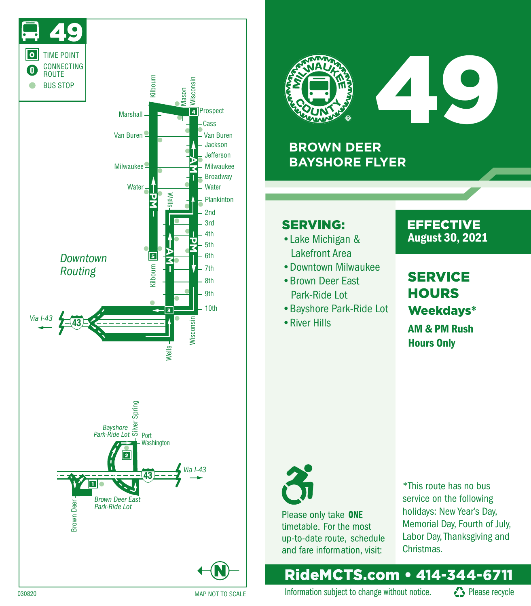



# 49

## **BROWN DEER BAYSHORE FLYER**

## **SERVING:**

- Lakefront Area
- •Downtown Milwaukee
- •Brown Deer East Park-Ride Lot
- •Bayshore Park-Ride Lot
- •River Hills

#### **EFFECTIVE** • Lake Michigan & **August 30, 2021**

# **SERVICE HOURS** Weekdays\*

AM & PM Rush Hours Only



Please only take ONE timetable. For the most up-to-date route, schedule and fare information, visit:

\*This route has no bus service on the following holidays: New Year's Day, Memorial Day, Fourth of July, Labor Day, Thanksgiving and Christmas.

## RideMCTS.com • 414-344-6711

Information subject to change without notice.  $\bullet$  Please recycle